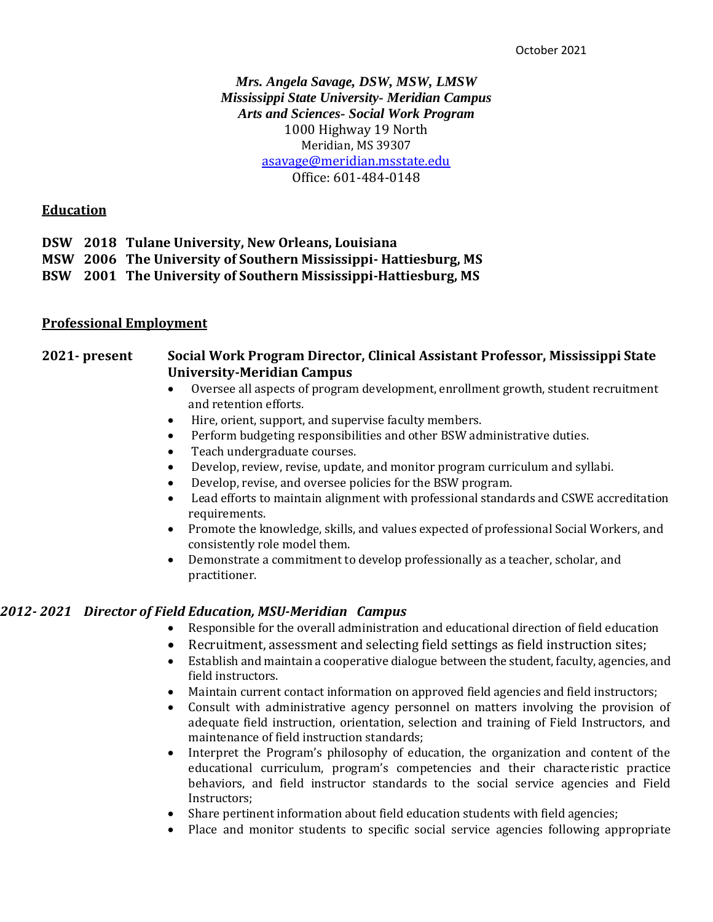# *Mrs. Angela Savage, DSW, MSW, LMSW Mississippi State University- Meridian Campus Arts and Sciences- Social Work Program* 1000 Highway 19 North Meridian, MS 39307 [asavage@meridian.msstate.edu](mailto:asavage@meridian.msstate.edu) Office: 601-484-0148

### **Education**

|  | DSW 2018 Tulane University, New Orleans, Louisiana              |
|--|-----------------------------------------------------------------|
|  | MSW 2006 The University of Southern Mississippi-Hattiesburg, MS |
|  | BSW 2001 The University of Southern Mississippi-Hattiesburg, MS |

#### **Professional Employment**

# **2021- present Social Work Program Director, Clinical Assistant Professor, Mississippi State University-Meridian Campus**

- Oversee all aspects of program development, enrollment growth, student recruitment and retention efforts.
- Hire, orient, support, and supervise faculty members.
- Perform budgeting responsibilities and other BSW administrative duties.
- Teach undergraduate courses.
- Develop, review, revise, update, and monitor program curriculum and syllabi.
- Develop, revise, and oversee policies for the BSW program.
- Lead efforts to maintain alignment with professional standards and CSWE accreditation requirements.
- Promote the knowledge, skills, and values expected of professional Social Workers, and consistently role model them.
- Demonstrate a commitment to develop professionally as a teacher, scholar, and practitioner.

#### *2012- 2021 Director of Field Education, MSU-Meridian Campus*

- Responsible for the overall administration and educational direction of field education
- Recruitment, assessment and selecting field settings as field instruction sites;
- Establish and maintain a cooperative dialogue between the student, faculty, agencies, and field instructors.
- Maintain current contact information on approved field agencies and field instructors;
- Consult with administrative agency personnel on matters involving the provision of adequate field instruction, orientation, selection and training of Field Instructors, and maintenance of field instruction standards;
- Interpret the Program's philosophy of education, the organization and content of the educational curriculum, program's competencies and their characteristic practice behaviors, and field instructor standards to the social service agencies and Field Instructors;
- Share pertinent information about field education students with field agencies;
- Place and monitor students to specific social service agencies following appropriate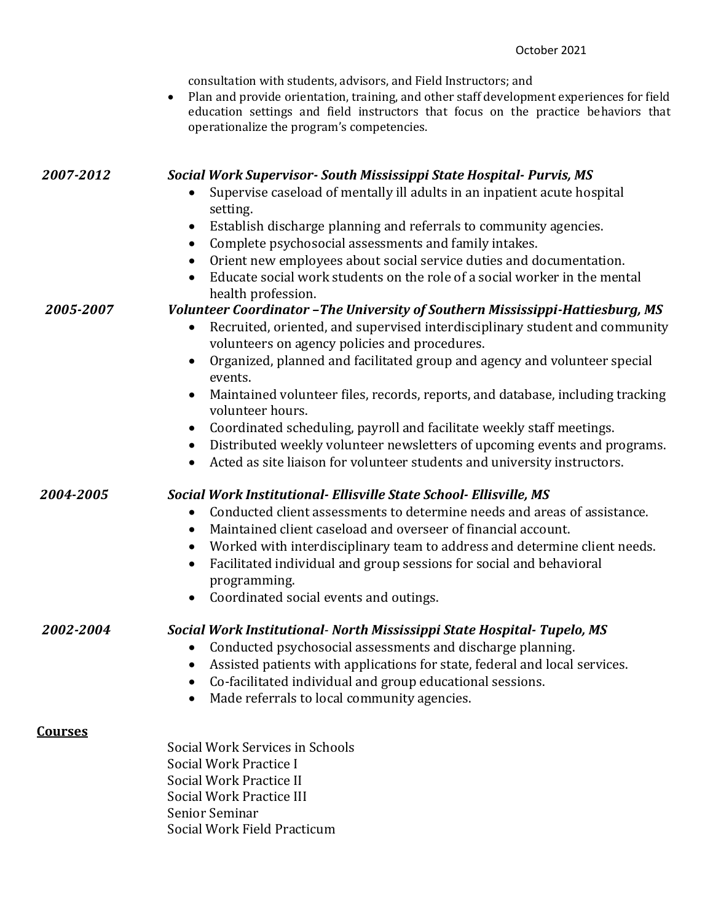|                | consultation with students, advisors, and Field Instructors; and<br>Plan and provide orientation, training, and other staff development experiences for field<br>education settings and field instructors that focus on the practice behaviors that<br>operationalize the program's competencies.                                                         |
|----------------|-----------------------------------------------------------------------------------------------------------------------------------------------------------------------------------------------------------------------------------------------------------------------------------------------------------------------------------------------------------|
| 2007-2012      | Social Work Supervisor-South Mississippi State Hospital-Purvis, MS<br>Supervise caseload of mentally ill adults in an inpatient acute hospital<br>setting.                                                                                                                                                                                                |
|                | Establish discharge planning and referrals to community agencies.<br>$\bullet$<br>Complete psychosocial assessments and family intakes.                                                                                                                                                                                                                   |
|                | $\bullet$<br>Orient new employees about social service duties and documentation.                                                                                                                                                                                                                                                                          |
|                | Educate social work students on the role of a social worker in the mental<br>health profession.                                                                                                                                                                                                                                                           |
| 2005-2007      | Volunteer Coordinator - The University of Southern Mississippi-Hattiesburg, MS<br>Recruited, oriented, and supervised interdisciplinary student and community<br>$\bullet$<br>volunteers on agency policies and procedures.                                                                                                                               |
|                | Organized, planned and facilitated group and agency and volunteer special                                                                                                                                                                                                                                                                                 |
|                | events.<br>Maintained volunteer files, records, reports, and database, including tracking<br>volunteer hours.                                                                                                                                                                                                                                             |
|                | Coordinated scheduling, payroll and facilitate weekly staff meetings.<br>Distributed weekly volunteer newsletters of upcoming events and programs.<br>Acted as site liaison for volunteer students and university instructors.                                                                                                                            |
| 2004-2005      | Social Work Institutional- Ellisville State School- Ellisville, MS                                                                                                                                                                                                                                                                                        |
|                | Conducted client assessments to determine needs and areas of assistance.<br>$\bullet$                                                                                                                                                                                                                                                                     |
|                | Maintained client caseload and overseer of financial account.<br>$\bullet$                                                                                                                                                                                                                                                                                |
|                | Worked with interdisciplinary team to address and determine client needs.<br>$\bullet$<br>Facilitated individual and group sessions for social and behavioral<br>programming.                                                                                                                                                                             |
|                | Coordinated social events and outings.                                                                                                                                                                                                                                                                                                                    |
| 2002-2004      | Social Work Institutional- North Mississippi State Hospital- Tupelo, MS<br>Conducted psychosocial assessments and discharge planning.<br>$\bullet$<br>Assisted patients with applications for state, federal and local services.<br>$\bullet$<br>Co-facilitated individual and group educational sessions.<br>Made referrals to local community agencies. |
| <b>Courses</b> |                                                                                                                                                                                                                                                                                                                                                           |
|                | Social Work Services in Schools                                                                                                                                                                                                                                                                                                                           |
|                | Social Work Practice I                                                                                                                                                                                                                                                                                                                                    |
|                | Social Work Practice II<br>Social Work Practice III                                                                                                                                                                                                                                                                                                       |
|                | Senior Seminar                                                                                                                                                                                                                                                                                                                                            |
|                | Social Work Field Practicum                                                                                                                                                                                                                                                                                                                               |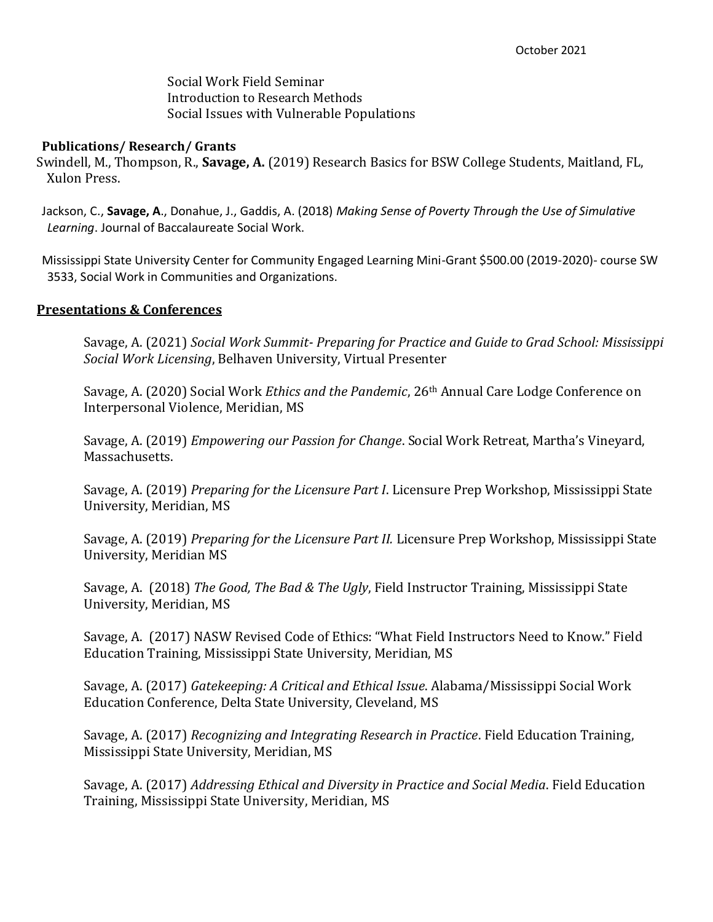Social Work Field Seminar Introduction to Research Methods Social Issues with Vulnerable Populations

### **Publications/ Research/ Grants**

Swindell, M., Thompson, R., **Savage, A.** (2019) Research Basics for BSW College Students, Maitland, FL, Xulon Press.

Jackson, C., **Savage, A**., Donahue, J., Gaddis, A. (2018) *Making Sense of Poverty Through the Use of Simulative Learning*. Journal of Baccalaureate Social Work.

Mississippi State University Center for Community Engaged Learning Mini-Grant \$500.00 (2019-2020)- course SW 3533, Social Work in Communities and Organizations.

#### **Presentations & Conferences**

Savage, A. (2021) *Social Work Summit- Preparing for Practice and Guide to Grad School: Mississippi Social Work Licensing*, Belhaven University, Virtual Presenter

Savage, A. (2020) Social Work *Ethics and the Pandemic*, 26th Annual Care Lodge Conference on Interpersonal Violence, Meridian, MS

Savage, A. (2019) *Empowering our Passion for Change*. Social Work Retreat, Martha's Vineyard, Massachusetts.

Savage, A. (2019) *Preparing for the Licensure Part I*. Licensure Prep Workshop, Mississippi State University, Meridian, MS

Savage, A. (2019) *Preparing for the Licensure Part II.* Licensure Prep Workshop, Mississippi State University, Meridian MS

Savage, A. (2018) *The Good, The Bad & The Ugly*, Field Instructor Training, Mississippi State University, Meridian, MS

Savage, A. (2017) NASW Revised Code of Ethics: "What Field Instructors Need to Know." Field Education Training, Mississippi State University, Meridian, MS

Savage, A. (2017) *Gatekeeping: A Critical and Ethical Issue*. Alabama/Mississippi Social Work Education Conference, Delta State University, Cleveland, MS

Savage, A. (2017) *Recognizing and Integrating Research in Practice*. Field Education Training, Mississippi State University, Meridian, MS

Savage, A. (2017) *Addressing Ethical and Diversity in Practice and Social Media*. Field Education Training, Mississippi State University, Meridian, MS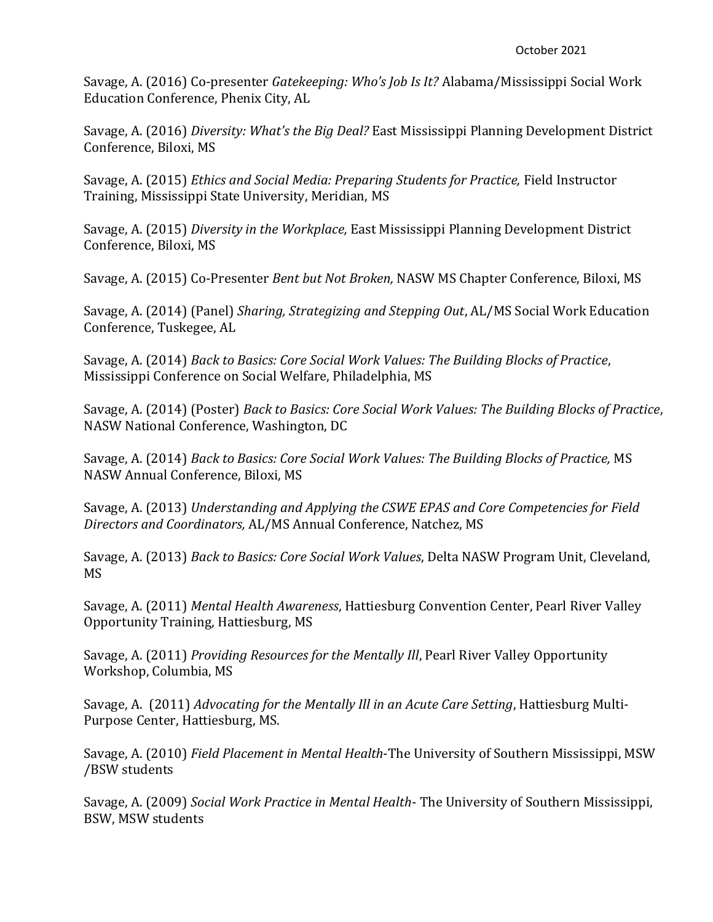Savage, A. (2016) Co-presenter *Gatekeeping: Who's Job Is It?* Alabama/Mississippi Social Work Education Conference, Phenix City, AL

Savage, A. (2016) *Diversity: What's the Big Deal?* East Mississippi Planning Development District Conference, Biloxi, MS

Savage, A. (2015) *Ethics and Social Media: Preparing Students for Practice,* Field Instructor Training, Mississippi State University, Meridian, MS

Savage, A. (2015) *Diversity in the Workplace,* East Mississippi Planning Development District Conference, Biloxi, MS

Savage, A. (2015) Co-Presenter *Bent but Not Broken,* NASW MS Chapter Conference, Biloxi, MS

Savage, A. (2014) (Panel) *Sharing, Strategizing and Stepping Out*, AL/MS Social Work Education Conference, Tuskegee, AL

Savage, A. (2014) *Back to Basics: Core Social Work Values: The Building Blocks of Practice*, Mississippi Conference on Social Welfare, Philadelphia, MS

Savage, A. (2014) (Poster) *Back to Basics: Core Social Work Values: The Building Blocks of Practice*, NASW National Conference, Washington, DC

Savage, A. (2014) *Back to Basics: Core Social Work Values: The Building Blocks of Practice,* MS NASW Annual Conference, Biloxi, MS

Savage, A. (2013) *Understanding and Applying the CSWE EPAS and Core Competencies for Field Directors and Coordinators,* AL/MS Annual Conference, Natchez, MS

Savage, A. (2013) *Back to Basics: Core Social Work Values*, Delta NASW Program Unit, Cleveland, MS

Savage, A. (2011) *Mental Health Awareness*, Hattiesburg Convention Center, Pearl River Valley Opportunity Training, Hattiesburg, MS

Savage, A. (2011) *Providing Resources for the Mentally Ill*, Pearl River Valley Opportunity Workshop, Columbia, MS

Savage, A. (2011) *Advocating for the Mentally Ill in an Acute Care Setting*, Hattiesburg Multi-Purpose Center, Hattiesburg, MS.

Savage, A. (2010) *Field Placement in Mental Health*-The University of Southern Mississippi, MSW /BSW students

Savage, A. (2009) *Social Work Practice in Mental Health*- The University of Southern Mississippi, BSW, MSW students